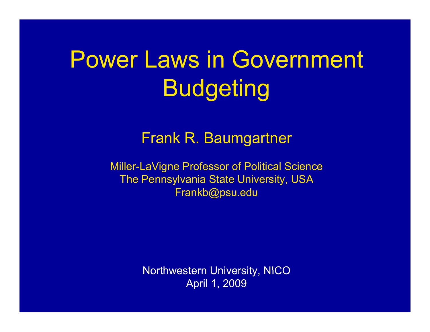# Power Laws in Government Budgeting

#### Frank R. Baum gartne r

Miller-LaVigne Professor of Political Science The Pennsylvania State University, USA Frankb@psu.edu

> Northwestern University, NICO April 1, 2009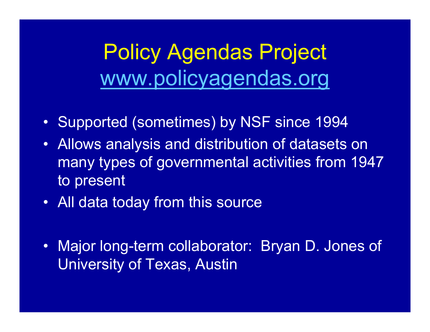## **Policy Agendas Project** www.policyagendas.org

- Supported (sometimes) by NSF since 1994
- Allows analysis and distribution of datasets on many types of governmental activities from 1947 to present
- All data today from this source
- Major long-term collaborator: Bryan D. Jones of University of Texas, Austin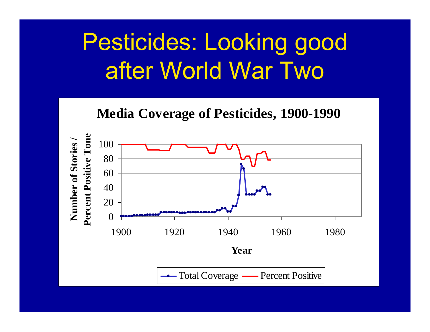# Pesticides: Looking good after World War Two



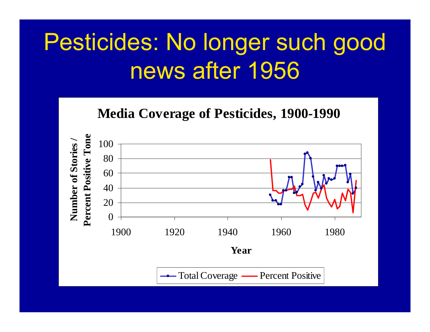# Pesticides: No longer such good news after 1956

**Media Coverage of Pesticides, 1900-1990**

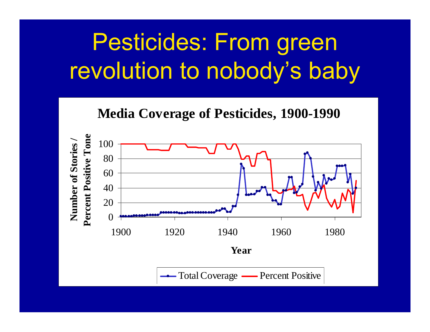# Pesticides: From green revolution to nobody's baby



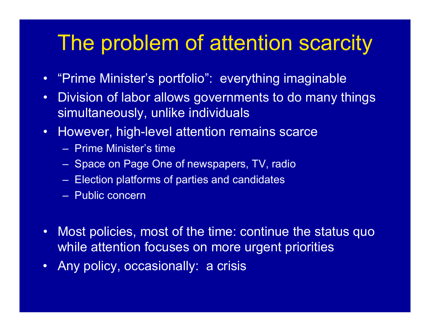## The problem of attention scarcity

- $\bullet$ "Prime Minister's portfolio": everything imaginable
- •Division of labor allows governments to do many things simultaneously, unlike individuals
- However, high-level attention remains scarce
	- Prime Minister's time
	- Space on Page One of newspapers, TV, radio
	- Election platforms of parties and candidates
	- Public concern
- •• Most policies, most of the time: continue the status quo while attention focuses on more urgent priorities
- $\bullet$ Any policy, occasionally: a crisis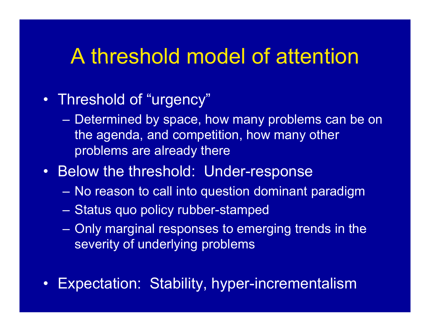## A threshold model of attention

#### • Threshold of "urgency"

 Determined by space, how many problems can be on the agenda, and competition, how many other problems are already there

#### • Below the threshold: Under-response

- No reason to call into question dominant paradigm
- Status quo policy rubber-stamped
- $-$  Only marginal responses to emerging trends in the severity of underlying problems
- •Expectation: Stability, hyper-incrementalism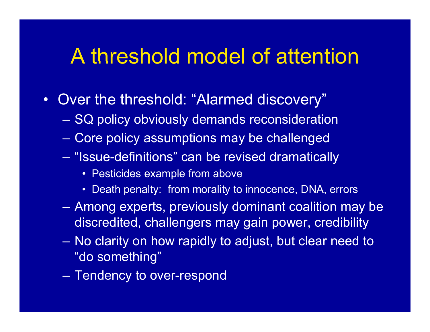#### A threshold model of attention

- •• Over the threshold: "Alarmed discovery"
	- SQ policy obviously demands reconsideration
	- Core policy assumptions may be challenged
	- "Issue-definitions" can be revised dramatically
		- Pesticides example from above
		- Death penalty: from morality to innocence, DNA, errors
	- Among experts, previously dominant coalition may be discredited, challengers may gain power, credibility
	- No clarity on how rapidly to adjust, but clear need to "do something"
	- Tendency to ove r-respond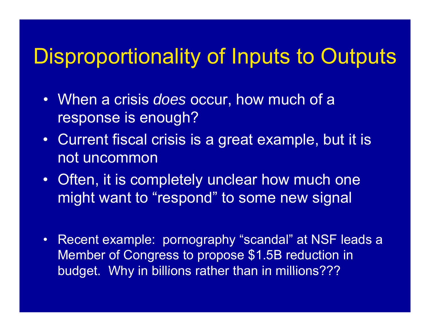## Disproportionality of Inputs to Outputs

- When a crisis *does* occur, how much of <sup>a</sup> response is enough?
- Current fiscal crisis is a great example, but it is not uncommon
- $\bullet\,$  Often, it is completely unclear how much one  $\,$ might want to "respond" to some new signal
- $\bullet$  Recent example: pornography "scandal" at NSF leads a Member of Congress to propose \$1.5B reduction in budget. Why in billions rather than in millions???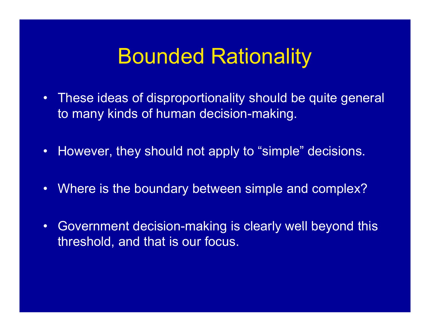#### Bounded Rationality

- $\bullet$ These ideas of disproportionality should be quite general to many kinds of human decision-making.
- $\bullet$ However, they should not apply to "simple" decisions.
- •Where is the boundary between simple and complex?
- $\bullet$ • Government decision-making is clearly well beyond this threshold, and that is our focus.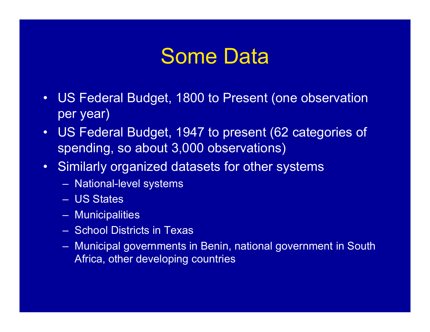## Some Data

- $\bullet$ US Federal Budget, 1800 to Present (one observation per year)
- $\bullet$  US Federal Budget, 1947 to present (62 categories of spending, so about 3,000 observations)
- Similarly organized datasets for other systems
	- National-level systems
	- US States
	- Municipalities
	- School Districts in Texas
	- Municipal governments in Benin, national government in South Africa, other developing countries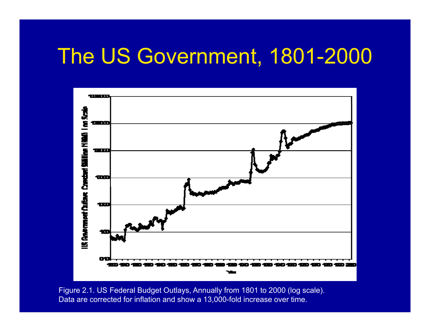#### The US Government, 1801-2000



Figure 2.1. US Federal Budget Outlays, Annually from 1801 to 2000 (log scale). Data are corrected for inflation and show a 13,000-fold increase over time.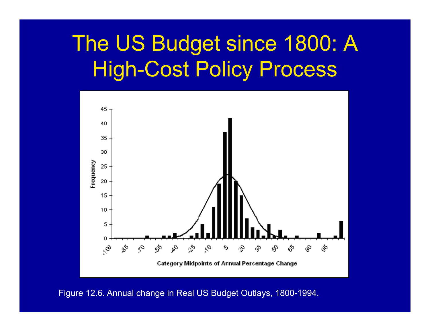## The US Budget since 1800: A High-Cost Policy Process



Figure 12.6. Annual change in Real US Budget Outlays, 1800-1994.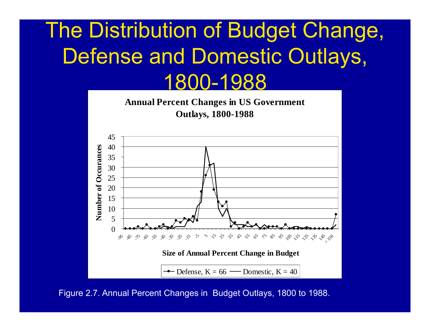## The Distribution of Budget Change, Defense and Domestic Outlays, 1800-1988



Figure 2.7. Annual Percent Changes in Budget Outlays, 1800 to 1988.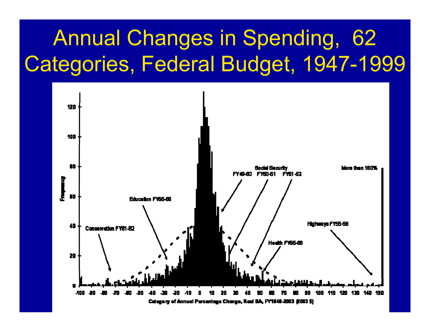## Annual Changes in Spending, 62 Categories, Federal Budget, 1947-1999

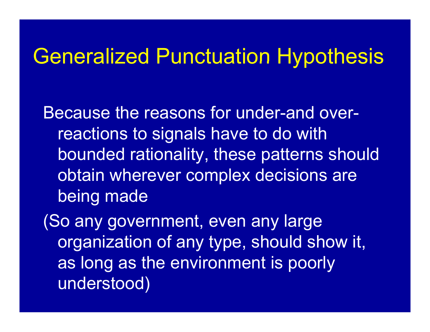## Generalized Punctuation Hypothesis

Because the reasons for under-and overreactions to signals have to do with bounded rationality, these patterns should obtain wherever complex decisions are being made

(So any government, even any large organization of any type, should show it, as long as the environment is poorly understood)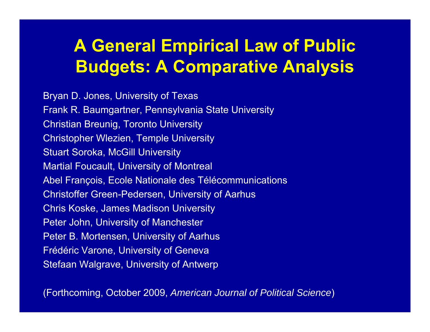#### **A General Empirical Law of Public Budgets: A Comparative Analysis**

Bryan D. Jones, University of Texas Frank R. Baumgartner, Pennsylvania State University Christian Breunig, Toronto University Christopher Wlezien, Temple University Stuart Soroka, McGill University Martial Foucault, University of Montreal Abel François, Ecole Nationale des Télécommunications Christoffer Green-Pedersen, University of Aarhus Chris Koske, James Madison University Peter John, University of Manchester Peter B. Mortensen, University of Aarhus Frédéric Varone, University of Geneva Stefaan Walgrave, University of Antwerp

(Forthcoming, October 2009, *American Journal of Political Science*)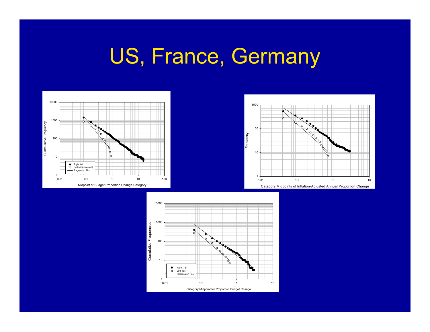## US, France, Germany





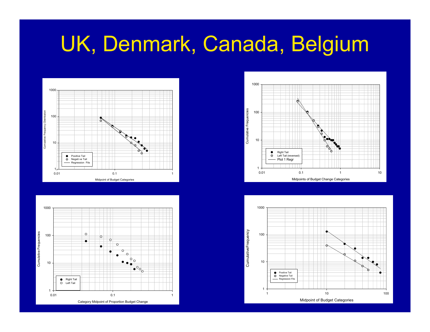## UK, Denmark, Canada, Belgium







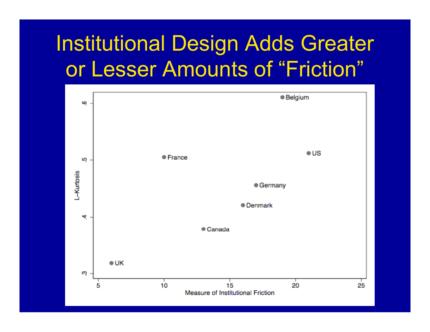## **Institutional Design Adds Greater** or Lesser Amounts of "Friction"

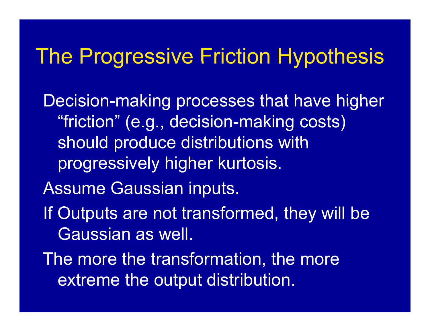## The Progressive Friction Hypothesis

Decision-making processes that have higher "friction" (e.g., decision-making costs) should produce distributions with progressively higher kurtosis.

Assume Gaussian inputs.

- If Outputs are not transformed, they will be Gaussian as well.
- The more the transformation, the more extreme the output distribution.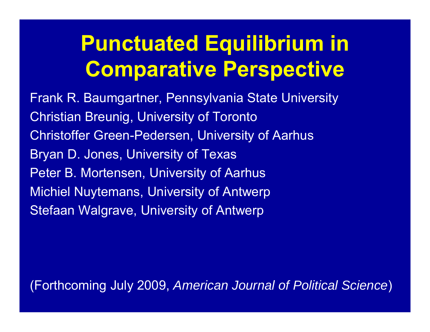## **Punctuated Equilibrium in Comparative Perspective**

Frank R. Baumgartner, Pennsylvania State University **Christian Breunig, University of Toronto Christoffer Green-Pedersen, University of Aarhus** Bryan D. Jones, University of Texas Peter B. Mortensen, University of Aarhus **Michiel Nuytemans, University of Antwerp** Stefaan Walgrave, University of Antwerp

(Forthcoming July 2009, American Journal of Political Science)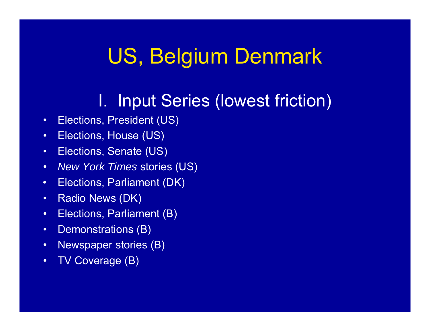## US, Belgium Denmark

#### I. Input Series (lowest friction)

- •Elections, President (US)
- •Elections, House (US)
- •Elections, Senate (US)
- •*New York Times* stories (US)
- •Elections, Parliament (DK)
- •Radio News (DK)
- •Elections, Parliament (B)
- •Demonstrations (B)
- •Newspaper stories (B)
- •TV Coverage (B)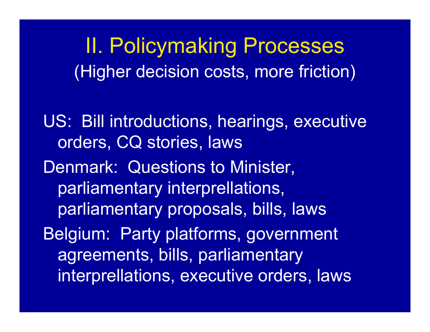**II. Policymaking Processes** (Higher decision costs, more friction)

US: Bill introductions, hearings, executive orders, CQ stories, laws Denmark: Questions to Minister, parliamentary interprellations, parliamentary proposals, bills, laws Belgium: Party platforms, government agreements, bills, parliamentary interprellations, executive orders, laws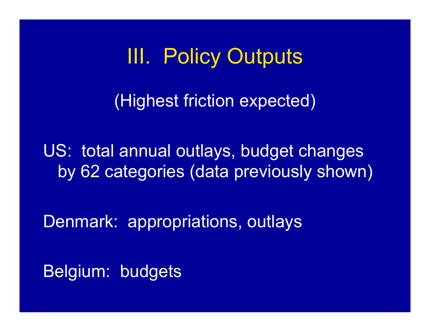**III. Policy Outputs** 

(Highest friction expected)

US: total annual outlays, budget changes by 62 categories (data previously shown)

Denmark: appropriations, outlays

Belgium: budgets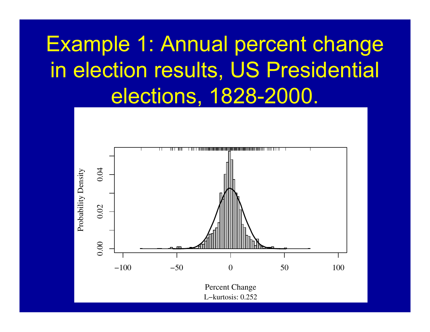## **Example 1: Annual percent change** in election results, US Presidential elections, 1828-2000.

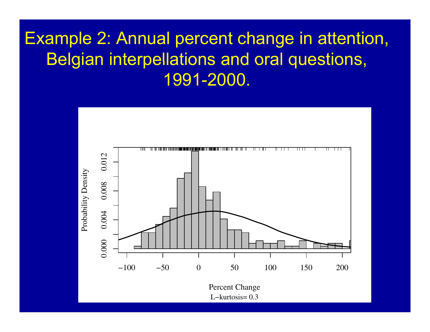#### Example 2: Annual percent change in attention, Belgian interpellations and oral questions, 1991-2000.

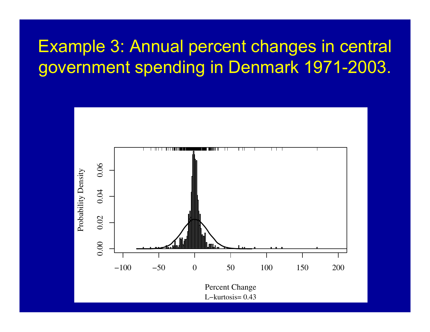#### **Example 3: Annual percent changes in central** government spending in Denmark 1971-2003.

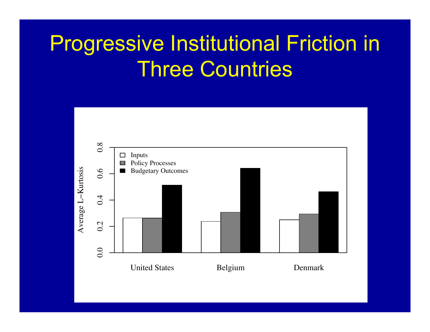## **Progressive Institutional Friction in Three Countries**

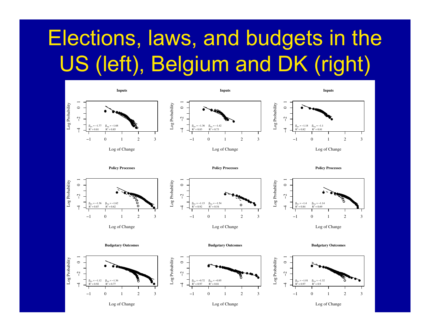# Elections, laws, and budgets in the US (left), Belgium and DK (right)

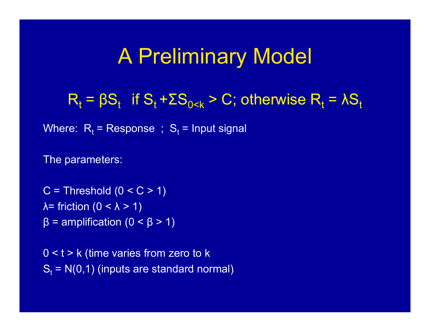## A Preliminary Model

 $R_t = \beta S_t$  if  $S_t$ f S<sub>t</sub> +ΣS<sub>0<k</sub> > C; otherwise R<sub>t</sub> = λS<sub>t</sub>

Where:  $\, {\sf R}_{\rm t} \,$  =  $\,$  Response  $\,$  ;  $\, {\sf S}_{\rm t} \,$  = Input signal

The parameters:

C = Threshold (0 < C > 1) λ= friction (0 < λ > 1) β = amplification (0 < β > 1)

 $0 < t > k$  (time varies from zero to k  ${\mathsf S}_{\mathsf t}$  = N(0,1) (inputs are standard normal)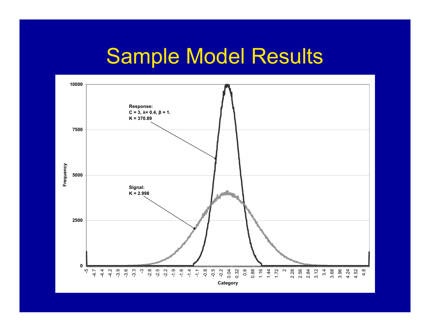## Sample Model Results

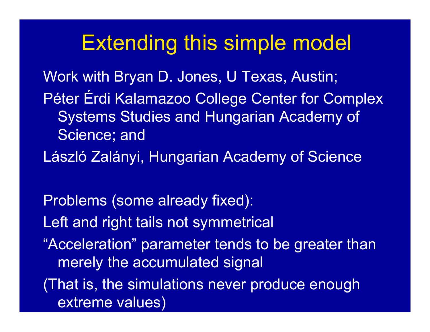## Extending this simple model

Work with Bryan D. Jones, U Texas, Austin; Péter Érdi Kalamazoo College Center for Complex Systems Studies and Hungarian Academy of Science; and

László Zalányi, Hungarian Academy of Science

Problems (some already fixed): Left and right tails not symmetrical "Acceleration" parameter tends to be greater than merely the accumulated signal (That is, the simulations never produce enough

extreme values)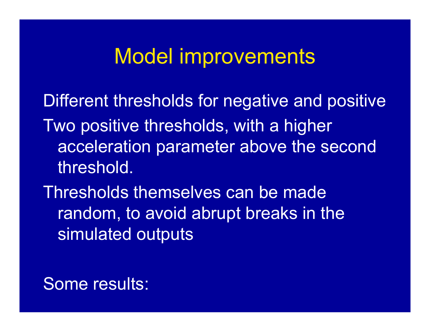#### Model improvements

Different thresholds for negative and positive Two positive thresholds, with a higher acceleration parameter above the second threshold.

Thresholds themselves can be made random, to avoid abrupt breaks in the simulated outputs

#### Some results: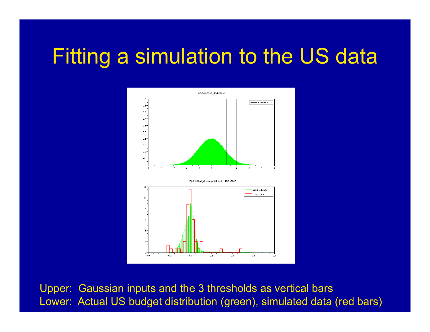## Fitting a simulation to the US data



Upper: Gaussian inputs and the 3 thresholds as vertical bars Lower: Actual US budget distribution (green), simulated data (red bars)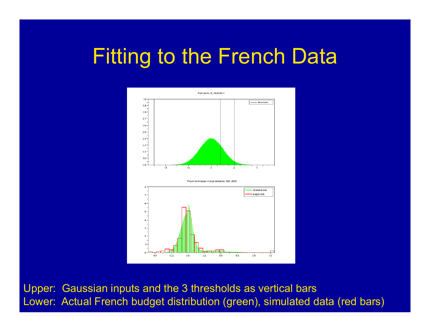## Fitting to the French Data



Upper: Gaussian inputs and the 3 thresholds as vertical bars Lower: Actual French budget distribution (green), simulated data (red bars)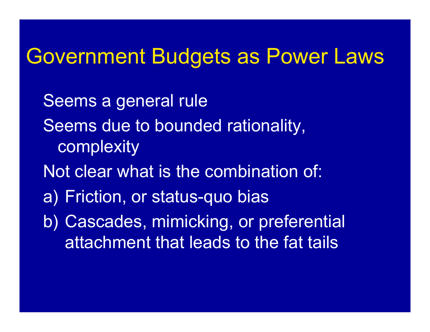## Government Budgets as Power Laws

Seems <sup>a</sup> general rule Seems due to bounded rationality, complexity Not clear what is the combination of: a) Friction, or status-quo bias b) Cascades, mimicking, or preferential attachment that leads to the fat tails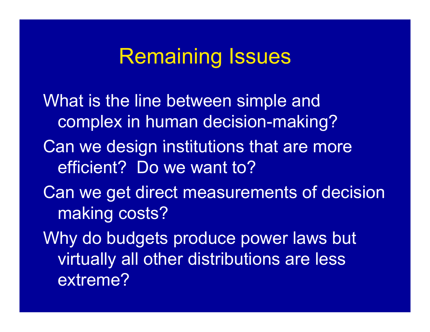## Remaining Issues

What is the line between simple and complex in human decision-making? Can we design institutions that are more efficient? Do we want to? Can we get direct measurements of decision making costs? Why do budgets produce power laws but virtually all other distributions are less extreme?